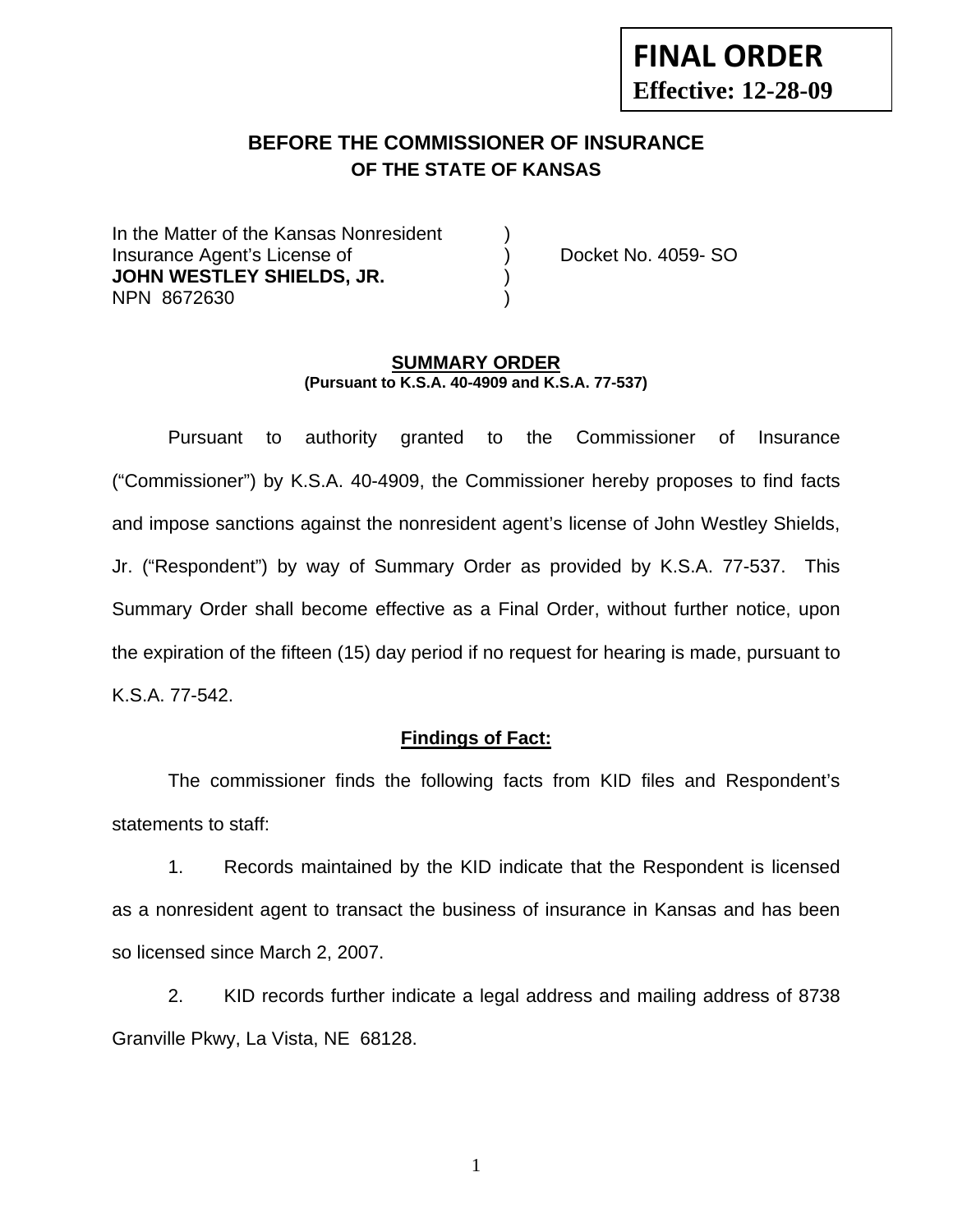# **FINAL ORDER Effective: 12-28-09**

# **BEFORE THE COMMISSIONER OF INSURANCE OF THE STATE OF KANSAS**

In the Matter of the Kansas Nonresident Insurance Agent's License of ) Docket No. 4059- SO **JOHN WESTLEY SHIELDS, JR.** (1) NPN 8672630 )

#### **SUMMARY ORDER (Pursuant to K.S.A. 40-4909 and K.S.A. 77-537)**

 Pursuant to authority granted to the Commissioner of Insurance ("Commissioner") by K.S.A. 40-4909, the Commissioner hereby proposes to find facts and impose sanctions against the nonresident agent's license of John Westley Shields, Jr. ("Respondent") by way of Summary Order as provided by K.S.A. 77-537. This Summary Order shall become effective as a Final Order, without further notice, upon the expiration of the fifteen (15) day period if no request for hearing is made, pursuant to K.S.A. 77-542.

### **Findings of Fact:**

 The commissioner finds the following facts from KID files and Respondent's statements to staff:

 1. Records maintained by the KID indicate that the Respondent is licensed as a nonresident agent to transact the business of insurance in Kansas and has been so licensed since March 2, 2007.

 2. KID records further indicate a legal address and mailing address of 8738 Granville Pkwy, La Vista, NE 68128.

1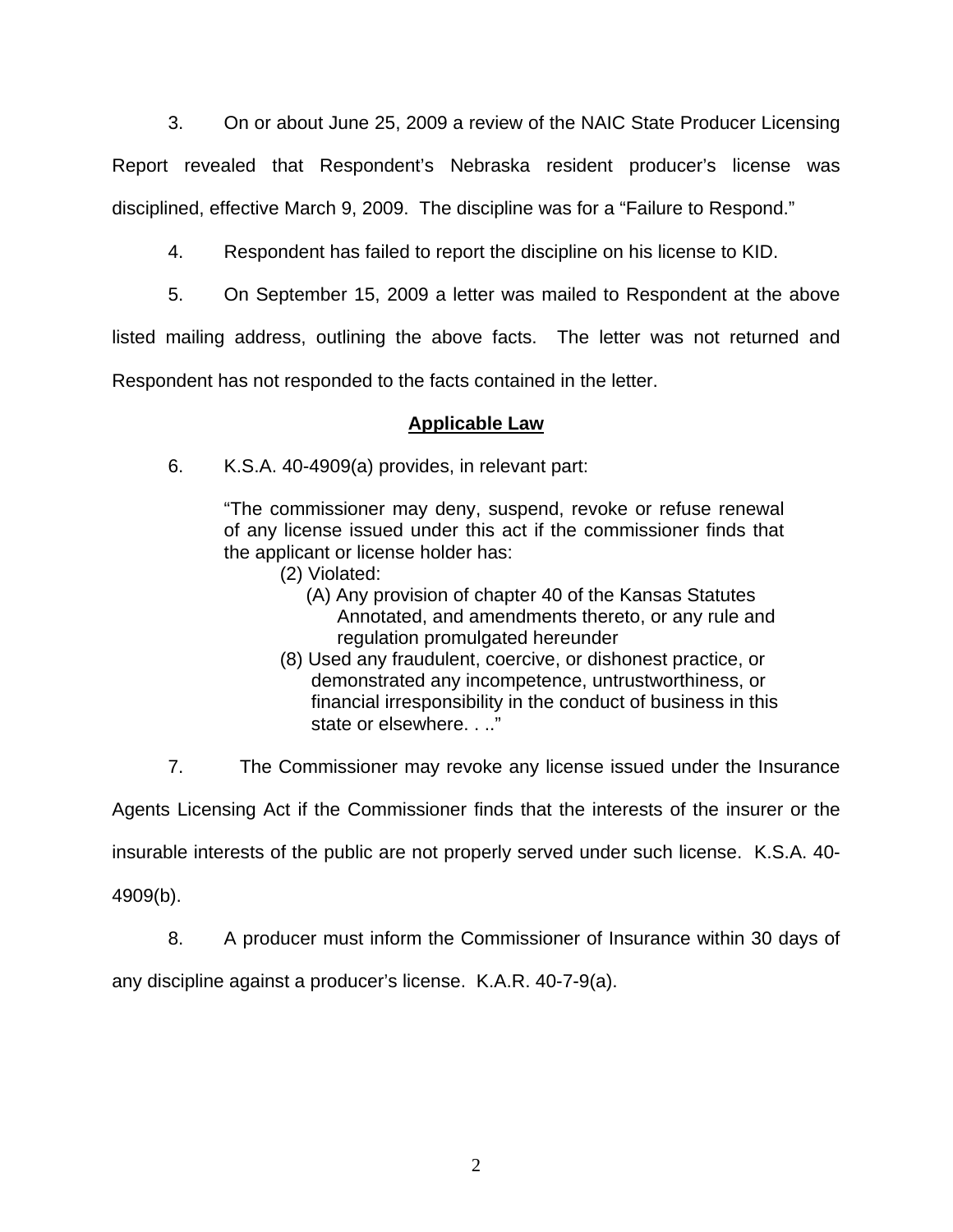3. On or about June 25, 2009 a review of the NAIC State Producer Licensing

Report revealed that Respondent's Nebraska resident producer's license was disciplined, effective March 9, 2009. The discipline was for a "Failure to Respond."

4. Respondent has failed to report the discipline on his license to KID.

5. On September 15, 2009 a letter was mailed to Respondent at the above

listed mailing address, outlining the above facts. The letter was not returned and

Respondent has not responded to the facts contained in the letter.

## **Applicable Law**

6. K.S.A. 40-4909(a) provides, in relevant part:

"The commissioner may deny, suspend, revoke or refuse renewal of any license issued under this act if the commissioner finds that the applicant or license holder has:

- (2) Violated:
	- (A) Any provision of chapter 40 of the Kansas Statutes Annotated, and amendments thereto, or any rule and regulation promulgated hereunder
- (8) Used any fraudulent, coercive, or dishonest practice, or demonstrated any incompetence, untrustworthiness, or financial irresponsibility in the conduct of business in this state or elsewhere. . .."

7. The Commissioner may revoke any license issued under the Insurance

Agents Licensing Act if the Commissioner finds that the interests of the insurer or the

insurable interests of the public are not properly served under such license. K.S.A. 40-

4909(b).

8. A producer must inform the Commissioner of Insurance within 30 days of

any discipline against a producer's license. K.A.R. 40-7-9(a).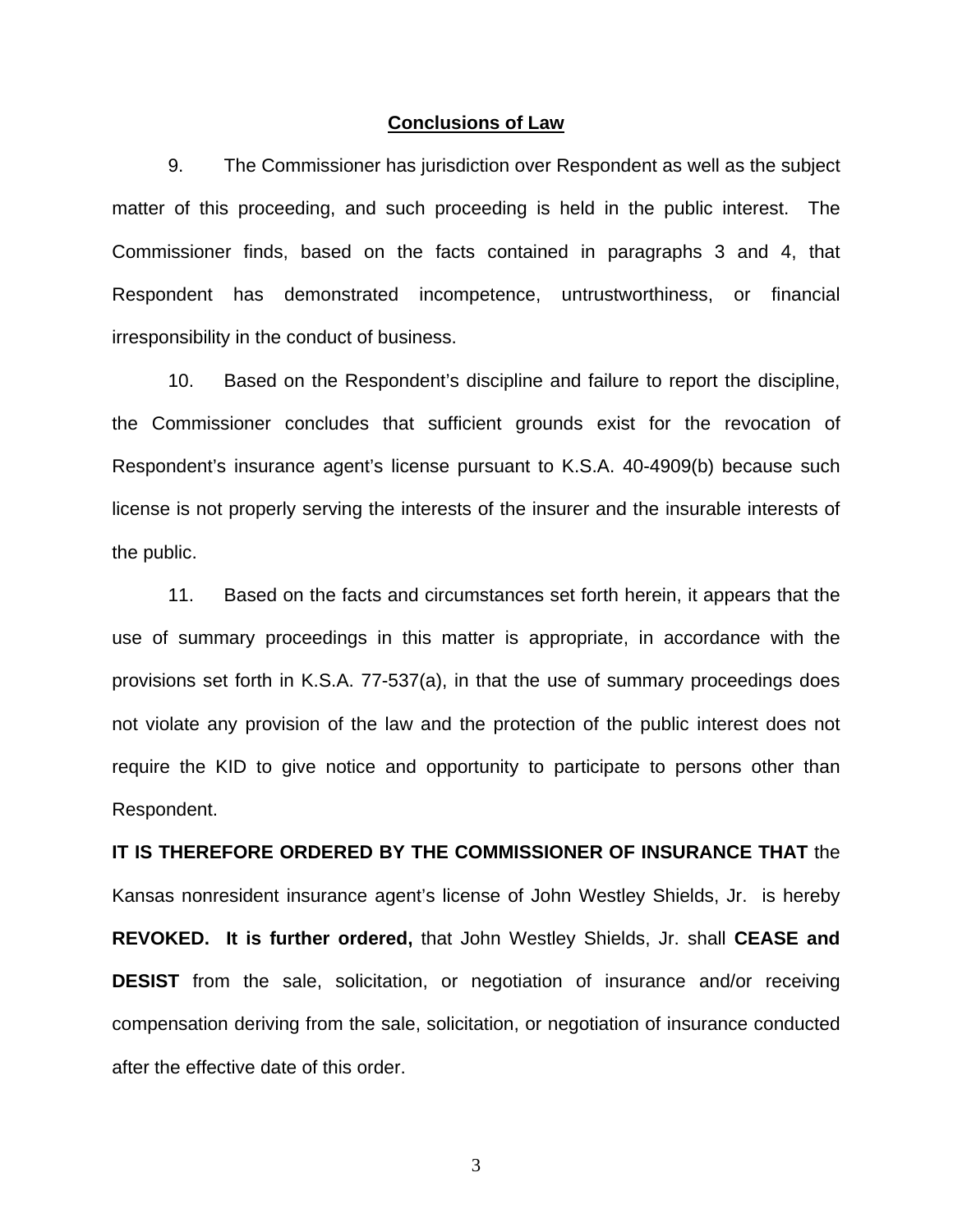#### **Conclusions of Law**

 9. The Commissioner has jurisdiction over Respondent as well as the subject matter of this proceeding, and such proceeding is held in the public interest. The Commissioner finds, based on the facts contained in paragraphs 3 and 4, that Respondent has demonstrated incompetence, untrustworthiness, or financial irresponsibility in the conduct of business.

 10. Based on the Respondent's discipline and failure to report the discipline, the Commissioner concludes that sufficient grounds exist for the revocation of Respondent's insurance agent's license pursuant to K.S.A. 40-4909(b) because such license is not properly serving the interests of the insurer and the insurable interests of the public.

 11. Based on the facts and circumstances set forth herein, it appears that the use of summary proceedings in this matter is appropriate, in accordance with the provisions set forth in K.S.A. 77-537(a), in that the use of summary proceedings does not violate any provision of the law and the protection of the public interest does not require the KID to give notice and opportunity to participate to persons other than Respondent.

**IT IS THEREFORE ORDERED BY THE COMMISSIONER OF INSURANCE THAT** the Kansas nonresident insurance agent's license of John Westley Shields, Jr. is hereby **REVOKED. It is further ordered,** that John Westley Shields, Jr. shall **CEASE and DESIST** from the sale, solicitation, or negotiation of insurance and/or receiving compensation deriving from the sale, solicitation, or negotiation of insurance conducted after the effective date of this order.

3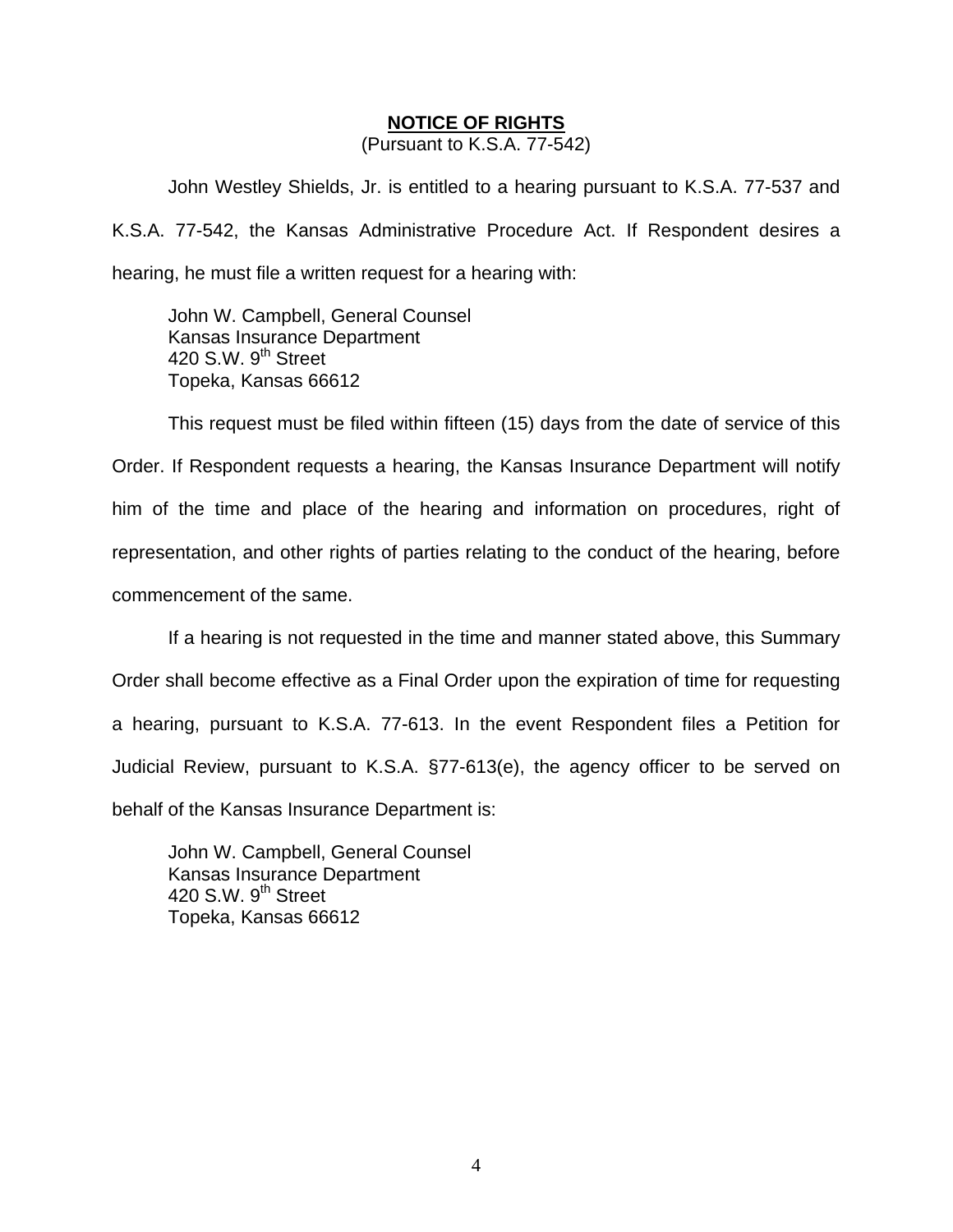#### **NOTICE OF RIGHTS**

(Pursuant to K.S.A. 77-542)

John Westley Shields, Jr. is entitled to a hearing pursuant to K.S.A. 77-537 and K.S.A. 77-542, the Kansas Administrative Procedure Act. If Respondent desires a hearing, he must file a written request for a hearing with:

 John W. Campbell, General Counsel Kansas Insurance Department 420 S.W.  $9<sup>th</sup>$  Street Topeka, Kansas 66612

This request must be filed within fifteen (15) days from the date of service of this Order. If Respondent requests a hearing, the Kansas Insurance Department will notify him of the time and place of the hearing and information on procedures, right of representation, and other rights of parties relating to the conduct of the hearing, before commencement of the same.

If a hearing is not requested in the time and manner stated above, this Summary Order shall become effective as a Final Order upon the expiration of time for requesting a hearing, pursuant to K.S.A. 77-613. In the event Respondent files a Petition for Judicial Review, pursuant to K.S.A. §77-613(e), the agency officer to be served on behalf of the Kansas Insurance Department is:

 John W. Campbell, General Counsel Kansas Insurance Department 420 S.W. 9<sup>th</sup> Street Topeka, Kansas 66612